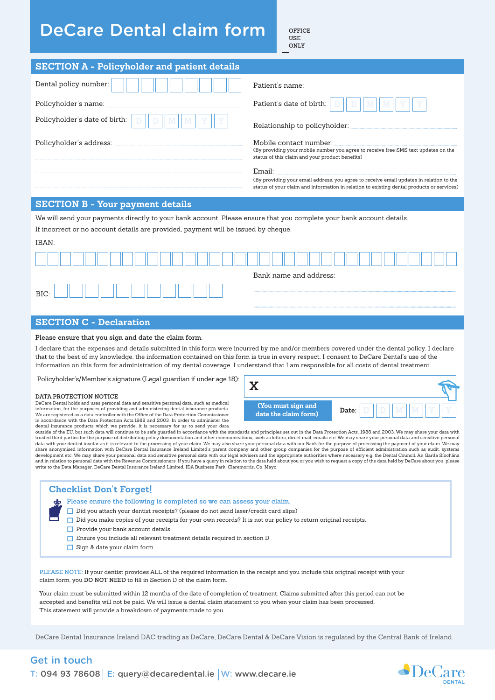## **DeCare Dental claim form**

**Office use Only**

| <b>SECTION A - Policyholder and patient details</b>                                                                                                                                                                                                                                                                                                                                                                                                                                                                                                                                                                                                                                                                                                                                                                                                                                                                                                                                                                                                                                                                                                                                                                                                                                                                                                                                                                                                                                                                                                                                                                                                                                                                                                                                                                                                                                               |                                                                                                                                                                                                |  |  |  |  |  |
|---------------------------------------------------------------------------------------------------------------------------------------------------------------------------------------------------------------------------------------------------------------------------------------------------------------------------------------------------------------------------------------------------------------------------------------------------------------------------------------------------------------------------------------------------------------------------------------------------------------------------------------------------------------------------------------------------------------------------------------------------------------------------------------------------------------------------------------------------------------------------------------------------------------------------------------------------------------------------------------------------------------------------------------------------------------------------------------------------------------------------------------------------------------------------------------------------------------------------------------------------------------------------------------------------------------------------------------------------------------------------------------------------------------------------------------------------------------------------------------------------------------------------------------------------------------------------------------------------------------------------------------------------------------------------------------------------------------------------------------------------------------------------------------------------------------------------------------------------------------------------------------------------|------------------------------------------------------------------------------------------------------------------------------------------------------------------------------------------------|--|--|--|--|--|
| Dental policy number:                                                                                                                                                                                                                                                                                                                                                                                                                                                                                                                                                                                                                                                                                                                                                                                                                                                                                                                                                                                                                                                                                                                                                                                                                                                                                                                                                                                                                                                                                                                                                                                                                                                                                                                                                                                                                                                                             | Patient's name:                                                                                                                                                                                |  |  |  |  |  |
| Policyholder's name:                                                                                                                                                                                                                                                                                                                                                                                                                                                                                                                                                                                                                                                                                                                                                                                                                                                                                                                                                                                                                                                                                                                                                                                                                                                                                                                                                                                                                                                                                                                                                                                                                                                                                                                                                                                                                                                                              | Patient's date of birth:                                                                                                                                                                       |  |  |  |  |  |
| Policyholder's date of birth:                                                                                                                                                                                                                                                                                                                                                                                                                                                                                                                                                                                                                                                                                                                                                                                                                                                                                                                                                                                                                                                                                                                                                                                                                                                                                                                                                                                                                                                                                                                                                                                                                                                                                                                                                                                                                                                                     | Relationship to policyholder:                                                                                                                                                                  |  |  |  |  |  |
| Policyholder's address: www.walian.com/watch?university.com                                                                                                                                                                                                                                                                                                                                                                                                                                                                                                                                                                                                                                                                                                                                                                                                                                                                                                                                                                                                                                                                                                                                                                                                                                                                                                                                                                                                                                                                                                                                                                                                                                                                                                                                                                                                                                       | Mobile contact number:<br>(By providing your mobile number you agree to receive free SMS text updates on the<br>status of this claim and your product benefits)                                |  |  |  |  |  |
|                                                                                                                                                                                                                                                                                                                                                                                                                                                                                                                                                                                                                                                                                                                                                                                                                                                                                                                                                                                                                                                                                                                                                                                                                                                                                                                                                                                                                                                                                                                                                                                                                                                                                                                                                                                                                                                                                                   | Email:<br>(By providing your email address, you agree to receive email updates in relation to the<br>status of your claim and information in relation to existing dental products or services) |  |  |  |  |  |
| <b>SECTION B - Your payment details</b>                                                                                                                                                                                                                                                                                                                                                                                                                                                                                                                                                                                                                                                                                                                                                                                                                                                                                                                                                                                                                                                                                                                                                                                                                                                                                                                                                                                                                                                                                                                                                                                                                                                                                                                                                                                                                                                           |                                                                                                                                                                                                |  |  |  |  |  |
| We will send your payments directly to your bank account. Please ensure that you complete your bank account details.<br>If incorrect or no account details are provided, payment will be issued by cheque.<br>IBAN:                                                                                                                                                                                                                                                                                                                                                                                                                                                                                                                                                                                                                                                                                                                                                                                                                                                                                                                                                                                                                                                                                                                                                                                                                                                                                                                                                                                                                                                                                                                                                                                                                                                                               |                                                                                                                                                                                                |  |  |  |  |  |
|                                                                                                                                                                                                                                                                                                                                                                                                                                                                                                                                                                                                                                                                                                                                                                                                                                                                                                                                                                                                                                                                                                                                                                                                                                                                                                                                                                                                                                                                                                                                                                                                                                                                                                                                                                                                                                                                                                   |                                                                                                                                                                                                |  |  |  |  |  |
|                                                                                                                                                                                                                                                                                                                                                                                                                                                                                                                                                                                                                                                                                                                                                                                                                                                                                                                                                                                                                                                                                                                                                                                                                                                                                                                                                                                                                                                                                                                                                                                                                                                                                                                                                                                                                                                                                                   | Bank name and address:                                                                                                                                                                         |  |  |  |  |  |
|                                                                                                                                                                                                                                                                                                                                                                                                                                                                                                                                                                                                                                                                                                                                                                                                                                                                                                                                                                                                                                                                                                                                                                                                                                                                                                                                                                                                                                                                                                                                                                                                                                                                                                                                                                                                                                                                                                   |                                                                                                                                                                                                |  |  |  |  |  |
| BIC:                                                                                                                                                                                                                                                                                                                                                                                                                                                                                                                                                                                                                                                                                                                                                                                                                                                                                                                                                                                                                                                                                                                                                                                                                                                                                                                                                                                                                                                                                                                                                                                                                                                                                                                                                                                                                                                                                              |                                                                                                                                                                                                |  |  |  |  |  |
|                                                                                                                                                                                                                                                                                                                                                                                                                                                                                                                                                                                                                                                                                                                                                                                                                                                                                                                                                                                                                                                                                                                                                                                                                                                                                                                                                                                                                                                                                                                                                                                                                                                                                                                                                                                                                                                                                                   |                                                                                                                                                                                                |  |  |  |  |  |
| <b>SECTION C - Declaration</b>                                                                                                                                                                                                                                                                                                                                                                                                                                                                                                                                                                                                                                                                                                                                                                                                                                                                                                                                                                                                                                                                                                                                                                                                                                                                                                                                                                                                                                                                                                                                                                                                                                                                                                                                                                                                                                                                    |                                                                                                                                                                                                |  |  |  |  |  |
| Please ensure that you sign and date the claim form.<br>I declare that the expenses and details submitted in this form were incurred by me and/or members covered under the dental policy. I declare<br>that to the best of my knowledge, the information contained on this form is true in every respect. I consent to DeCare Dental's use of the<br>information on this form for administration of my dental coverage. I understand that I am responsible for all costs of dental treatment.<br>Policyholder's/Member's signature (Legal guardian if under age 18):                                                                                                                                                                                                                                                                                                                                                                                                                                                                                                                                                                                                                                                                                                                                                                                                                                                                                                                                                                                                                                                                                                                                                                                                                                                                                                                             | $\mathbf X$                                                                                                                                                                                    |  |  |  |  |  |
| DATA PROTECTION NOTICE<br>DeCare Dental holds and uses personal data and sensitive personal data, such as medical<br>(You must sign and<br>information, for the purposes of providing and administering dental insurance products.<br>Date:<br>date the claim form)<br>We are registered as a data controller with the Office of the Data Protection Commissioner<br>in accordance with the Data Protection Acts,1988 and 2003. In order to administer the<br>dental insurance products which we provide, it is necessary for us to send your data<br>outside of the EU, but such data will continue to be safe guarded in accordance with the standards and principles set out in the Data Protection Acts, 1988 and 2003. We may share your data with<br>trusted third parties for the purpose of distributing policy documentation and other communications, such as letters, direct mail, emails etc. We may share your personal data and sensitive personal<br>data with your dentist insofar as it is relevant to the processing of your claim. We may also share your personal data with our Bank for the purpose of processing the payment of your claim. We may<br>share anonymised information with DeCare Dental Insurance Ireland Limited's parent company and other group companies for the purpose of efficient administration such as audit, systems<br>development etc. We may share your personal data and sensitive personal data with our legal advisers and the appropriate authorities where necessary e.g. the Dental Council, An Garda Síochána<br>and in relation to personal data with the Revenue Commissioners. If you have a query in relation to the data held about you or you wish to request a copy of the data held by DeCare about you, please<br>write to the Data Manager, DeCare Dental Insurance Ireland Limited, IDA Business Park, Claremorris, Co. Mayo. |                                                                                                                                                                                                |  |  |  |  |  |
| <b>Checklist Don't Forget!</b><br>Please ensure the following is completed so we can assess your claim.<br>□ Did you attach your dentist receipts? (please do not send laser/credit card slips)<br>$\Box$ Did you make copies of your receipts for your own records? It is not our policy to return original receipts.<br>$\Box$ Provide your bank account details<br>$\Box$ Ensure you include all relevant treatment details required in section D<br>$\Box$ Sign & date your claim form                                                                                                                                                                                                                                                                                                                                                                                                                                                                                                                                                                                                                                                                                                                                                                                                                                                                                                                                                                                                                                                                                                                                                                                                                                                                                                                                                                                                        |                                                                                                                                                                                                |  |  |  |  |  |
| PLEASE NOTE: If your dentist provides ALL of the required information in the receipt and you include this original receipt with your<br>claim form, you DO NOT NEED to fill in Section D of the claim form.<br>Your claim must be submitted within 12 months of the date of completion of treatment. Claims submitted after this period can not be<br>accepted and benefits will not be paid. We will issue a dental claim statement to you when your claim has been processed.<br>This statement will provide a breakdown of payments made to you.                                                                                                                                                                                                                                                                                                                                                                                                                                                                                                                                                                                                                                                                                                                                                                                                                                                                                                                                                                                                                                                                                                                                                                                                                                                                                                                                               |                                                                                                                                                                                                |  |  |  |  |  |

DeCare Dental Insurance Ireland DAC trading as DeCare, DeCare Dental & DeCare Vision is regulated by the Central Bank of Ireland.